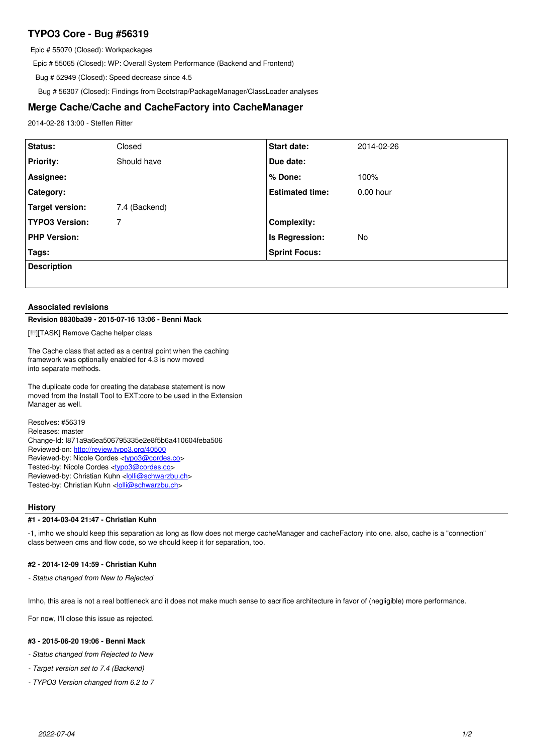# **TYPO3 Core - Bug #56319**

Epic # 55070 (Closed): Workpackages

Epic # 55065 (Closed): WP: Overall System Performance (Backend and Frontend)

Bug # 52949 (Closed): Speed decrease since 4.5

Bug # 56307 (Closed): Findings from Bootstrap/PackageManager/ClassLoader analyses

## **Merge Cache/Cache and CacheFactory into CacheManager**

2014-02-26 13:00 - Steffen Ritter

| Status:               | Closed        | Start date:            | 2014-02-26  |
|-----------------------|---------------|------------------------|-------------|
| <b>Priority:</b>      | Should have   | Due date:              |             |
| Assignee:             |               | % Done:                | 100%        |
| Category:             |               | <b>Estimated time:</b> | $0.00$ hour |
| Target version:       | 7.4 (Backend) |                        |             |
| <b>TYPO3 Version:</b> | 7             | <b>Complexity:</b>     |             |
| <b>PHP Version:</b>   |               | Is Regression:         | No          |
| Tags:                 |               | <b>Sprint Focus:</b>   |             |
| <b>Description</b>    |               |                        |             |
|                       |               |                        |             |

### **Associated revisions**

## **Revision 8830ba39 - 2015-07-16 13:06 - Benni Mack**

[!!!][TASK] Remove Cache helper class

The Cache class that acted as a central point when the caching framework was optionally enabled for 4.3 is now moved into separate methods.

The duplicate code for creating the database statement is now moved from the Install Tool to EXT:core to be used in the Extension Manager as well.

Resolves: #56319 Releases: master Change-Id: I871a9a6ea506795335e2e8f5b6a410604feba506 Reviewed-on:<http://review.typo3.org/40500> Reviewed-by: Nicole Cordes <[typo3@cordes.co](mailto:typo3@cordes.co)> Tested-by: Nicole Cordes [<typo3@cordes.co>](mailto:typo3@cordes.co) Reviewed-by: Christian Kuhn [<lolli@schwarzbu.ch>](mailto:lolli@schwarzbu.ch) Tested-by: Christian Kuhn <[lolli@schwarzbu.ch](mailto:lolli@schwarzbu.ch)>

## **History**

#### **#1 - 2014-03-04 21:47 - Christian Kuhn**

-1, imho we should keep this separation as long as flow does not merge cacheManager and cacheFactory into one. also, cache is a "connection" class between cms and flow code, so we should keep it for separation, too.

### **#2 - 2014-12-09 14:59 - Christian Kuhn**

*- Status changed from New to Rejected*

Imho, this area is not a real bottleneck and it does not make much sense to sacrifice architecture in favor of (negligible) more performance.

For now, I'll close this issue as rejected.

## **#3 - 2015-06-20 19:06 - Benni Mack**

*- Status changed from Rejected to New*

*- Target version set to 7.4 (Backend)*

*- TYPO3 Version changed from 6.2 to 7*